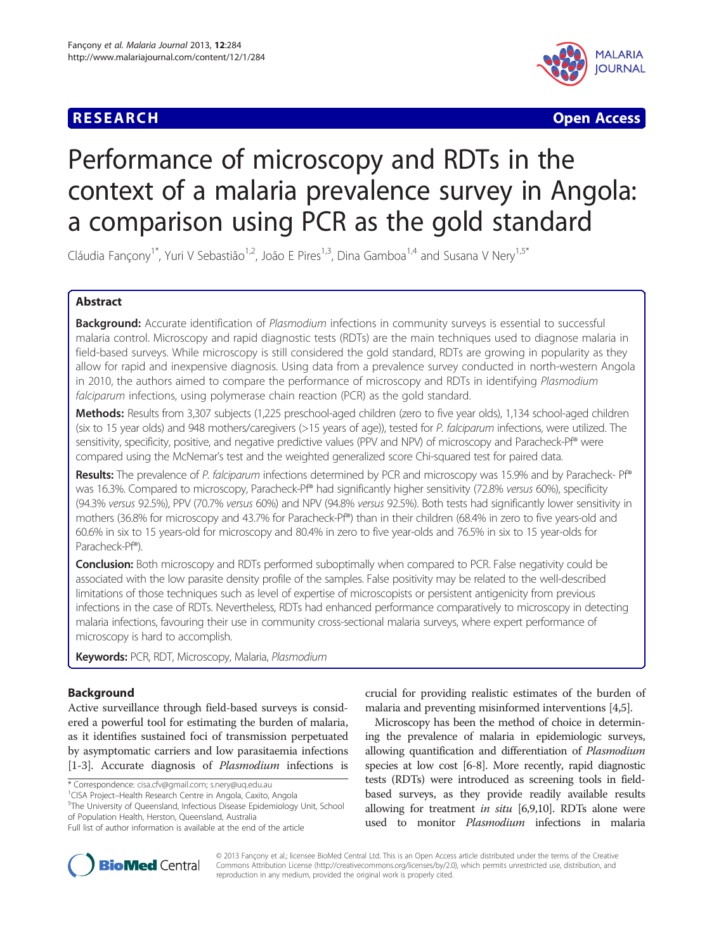# **RESEARCH CHEAR CHEAR CHEAR CHEAR CHEAR CHEAR CHEAR CHEAR CHEAR CHEAR CHEAR CHEAR CHEAR CHEAR CHEAR CHEAR CHEAR**



# Performance of microscopy and RDTs in the context of a malaria prevalence survey in Angola: a comparison using PCR as the gold standard

Cláudia Fançony<sup>1\*</sup>, Yuri V Sebastião<sup>1,2</sup>, João E Pires<sup>1,3</sup>, Dina Gamboa<sup>1,4</sup> and Susana V Nery<sup>1,5\*</sup>

# Abstract

Background: Accurate identification of Plasmodium infections in community surveys is essential to successful malaria control. Microscopy and rapid diagnostic tests (RDTs) are the main techniques used to diagnose malaria in field-based surveys. While microscopy is still considered the gold standard, RDTs are growing in popularity as they allow for rapid and inexpensive diagnosis. Using data from a prevalence survey conducted in north-western Angola in 2010, the authors aimed to compare the performance of microscopy and RDTs in identifying Plasmodium falciparum infections, using polymerase chain reaction (PCR) as the gold standard.

Methods: Results from 3,307 subjects (1,225 preschool-aged children (zero to five year olds), 1,134 school-aged children (six to 15 year olds) and 948 mothers/caregivers (>15 years of age)), tested for P. falciparum infections, were utilized. The sensitivity, specificity, positive, and negative predictive values (PPV and NPV) of microscopy and Paracheck-Pf® were compared using the McNemar's test and the weighted generalized score Chi-squared test for paired data.

Results: The prevalence of P. falciparum infections determined by PCR and microscopy was 15.9% and by Paracheck- Pf® was 16.3%. Compared to microscopy, Paracheck-Pf® had significantly higher sensitivity (72.8% versus 60%), specificity (94.3% versus 92.5%), PPV (70.7% versus 60%) and NPV (94.8% versus 92.5%). Both tests had significantly lower sensitivity in mothers (36.8% for microscopy and 43.7% for Paracheck-Pf®) than in their children (68.4% in zero to five years-old and 60.6% in six to 15 years-old for microscopy and 80.4% in zero to five year-olds and 76.5% in six to 15 year-olds for Paracheck-Pf®).

**Conclusion:** Both microscopy and RDTs performed suboptimally when compared to PCR. False negativity could be associated with the low parasite density profile of the samples. False positivity may be related to the well-described limitations of those techniques such as level of expertise of microscopists or persistent antigenicity from previous infections in the case of RDTs. Nevertheless, RDTs had enhanced performance comparatively to microscopy in detecting malaria infections, favouring their use in community cross-sectional malaria surveys, where expert performance of microscopy is hard to accomplish.

Keywords: PCR, RDT, Microscopy, Malaria, Plasmodium

# Background

Active surveillance through field-based surveys is considered a powerful tool for estimating the burden of malaria, as it identifies sustained foci of transmission perpetuated by asymptomatic carriers and low parasitaemia infections [[1-3\]](#page-4-0). Accurate diagnosis of Plasmodium infections is

\* Correspondence: [cisa.cfv@gmail.com](mailto:cisa.cfv@gmail.com); [s.nery@uq.edu.au](mailto:s.nery@uq.edu.au) <sup>1</sup>

<sup>1</sup>CISA Project–Health Research Centre in Angola, Caxito, Angola

The University of Queensland, Infectious Disease Epidemiology Unit, School of Population Health, Herston, Queensland, Australia

crucial for providing realistic estimates of the burden of malaria and preventing misinformed interventions [\[4,5\]](#page-4-0).

Microscopy has been the method of choice in determining the prevalence of malaria in epidemiologic surveys, allowing quantification and differentiation of Plasmodium species at low cost [\[6-8](#page-4-0)]. More recently, rapid diagnostic tests (RDTs) were introduced as screening tools in fieldbased surveys, as they provide readily available results allowing for treatment in situ [\[6,9,10\]](#page-4-0). RDTs alone were used to monitor *Plasmodium* infections in malaria



© 2013 Fançony et al.; licensee BioMed Central Ltd. This is an Open Access article distributed under the terms of the Creative Commons Attribution License [\(http://creativecommons.org/licenses/by/2.0\)](http://creativecommons.org/licenses/by/2.0), which permits unrestricted use, distribution, and reproduction in any medium, provided the original work is properly cited.

Full list of author information is available at the end of the article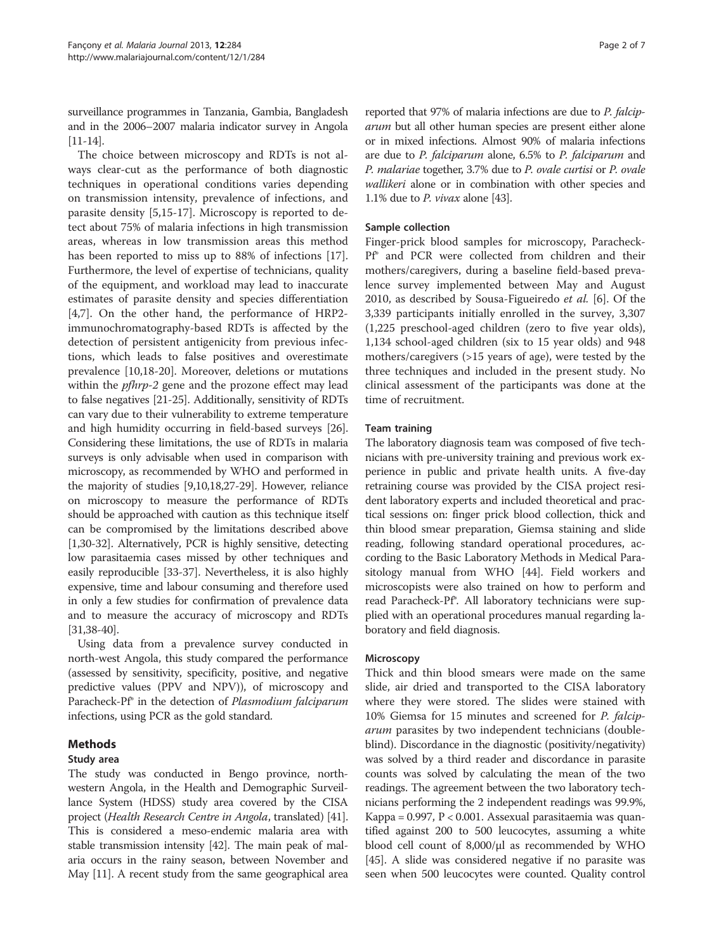surveillance programmes in Tanzania, Gambia, Bangladesh and in the 2006–2007 malaria indicator survey in Angola [[11](#page-4-0)-[14\]](#page-5-0).

The choice between microscopy and RDTs is not always clear-cut as the performance of both diagnostic techniques in operational conditions varies depending on transmission intensity, prevalence of infections, and parasite density [\[5](#page-4-0)[,15](#page-5-0)-[17\]](#page-5-0). Microscopy is reported to detect about 75% of malaria infections in high transmission areas, whereas in low transmission areas this method has been reported to miss up to 88% of infections [\[17](#page-5-0)]. Furthermore, the level of expertise of technicians, quality of the equipment, and workload may lead to inaccurate estimates of parasite density and species differentiation [[4,7\]](#page-4-0). On the other hand, the performance of HRP2 immunochromatography-based RDTs is affected by the detection of persistent antigenicity from previous infections, which leads to false positives and overestimate prevalence [\[10,](#page-4-0)[18-20](#page-5-0)]. Moreover, deletions or mutations within the *pfhrp-2* gene and the prozone effect may lead to false negatives [[21](#page-5-0)-[25](#page-5-0)]. Additionally, sensitivity of RDTs can vary due to their vulnerability to extreme temperature and high humidity occurring in field-based surveys [[26](#page-5-0)]. Considering these limitations, the use of RDTs in malaria surveys is only advisable when used in comparison with microscopy, as recommended by WHO and performed in the majority of studies [\[9,10,](#page-4-0)[18,27](#page-5-0)-[29](#page-5-0)]. However, reliance on microscopy to measure the performance of RDTs should be approached with caution as this technique itself can be compromised by the limitations described above [[1,](#page-4-0)[30](#page-5-0)-[32](#page-5-0)]. Alternatively, PCR is highly sensitive, detecting low parasitaemia cases missed by other techniques and easily reproducible [\[33-37](#page-5-0)]. Nevertheless, it is also highly expensive, time and labour consuming and therefore used in only a few studies for confirmation of prevalence data and to measure the accuracy of microscopy and RDTs  $|31,38-40|$  $|31,38-40|$  $|31,38-40|$  $|31,38-40|$  $|31,38-40|$ .

Using data from a prevalence survey conducted in north-west Angola, this study compared the performance (assessed by sensitivity, specificity, positive, and negative predictive values (PPV and NPV)), of microscopy and Paracheck-Pf® in the detection of Plasmodium falciparum infections, using PCR as the gold standard.

# Methods

# Study area

The study was conducted in Bengo province, northwestern Angola, in the Health and Demographic Surveillance System (HDSS) study area covered by the CISA project (Health Research Centre in Angola, translated) [\[41](#page-5-0)]. This is considered a meso-endemic malaria area with stable transmission intensity [\[42\]](#page-5-0). The main peak of malaria occurs in the rainy season, between November and May [\[11\]](#page-4-0). A recent study from the same geographical area

reported that 97% of malaria infections are due to P. falciparum but all other human species are present either alone or in mixed infections. Almost 90% of malaria infections are due to P. falciparum alone, 6.5% to P. falciparum and P. malariae together, 3.7% due to P. ovale curtisi or P. ovale wallikeri alone or in combination with other species and 1.1% due to P. vivax alone [\[43](#page-5-0)].

# Sample collection

Finger-prick blood samples for microscopy, Paracheck-Pf® and PCR were collected from children and their mothers/caregivers, during a baseline field-based prevalence survey implemented between May and August 2010, as described by Sousa-Figueiredo et al. [\[6\]](#page-4-0). Of the 3,339 participants initially enrolled in the survey, 3,307 (1,225 preschool-aged children (zero to five year olds), 1,134 school-aged children (six to 15 year olds) and 948 mothers/caregivers (>15 years of age), were tested by the three techniques and included in the present study. No clinical assessment of the participants was done at the time of recruitment.

# Team training

The laboratory diagnosis team was composed of five technicians with pre-university training and previous work experience in public and private health units. A five-day retraining course was provided by the CISA project resident laboratory experts and included theoretical and practical sessions on: finger prick blood collection, thick and thin blood smear preparation, Giemsa staining and slide reading, following standard operational procedures, according to the Basic Laboratory Methods in Medical Parasitology manual from WHO [\[44](#page-5-0)]. Field workers and microscopists were also trained on how to perform and read Paracheck-Pf®. All laboratory technicians were supplied with an operational procedures manual regarding laboratory and field diagnosis.

#### Microscopy

Thick and thin blood smears were made on the same slide, air dried and transported to the CISA laboratory where they were stored. The slides were stained with 10% Giemsa for 15 minutes and screened for P. falciparum parasites by two independent technicians (doubleblind). Discordance in the diagnostic (positivity/negativity) was solved by a third reader and discordance in parasite counts was solved by calculating the mean of the two readings. The agreement between the two laboratory technicians performing the 2 independent readings was 99.9%, Kappa = 0.997, P < 0.001. Assexual parasitaemia was quantified against 200 to 500 leucocytes, assuming a white blood cell count of 8,000/μl as recommended by WHO [[45](#page-5-0)]. A slide was considered negative if no parasite was seen when 500 leucocytes were counted. Quality control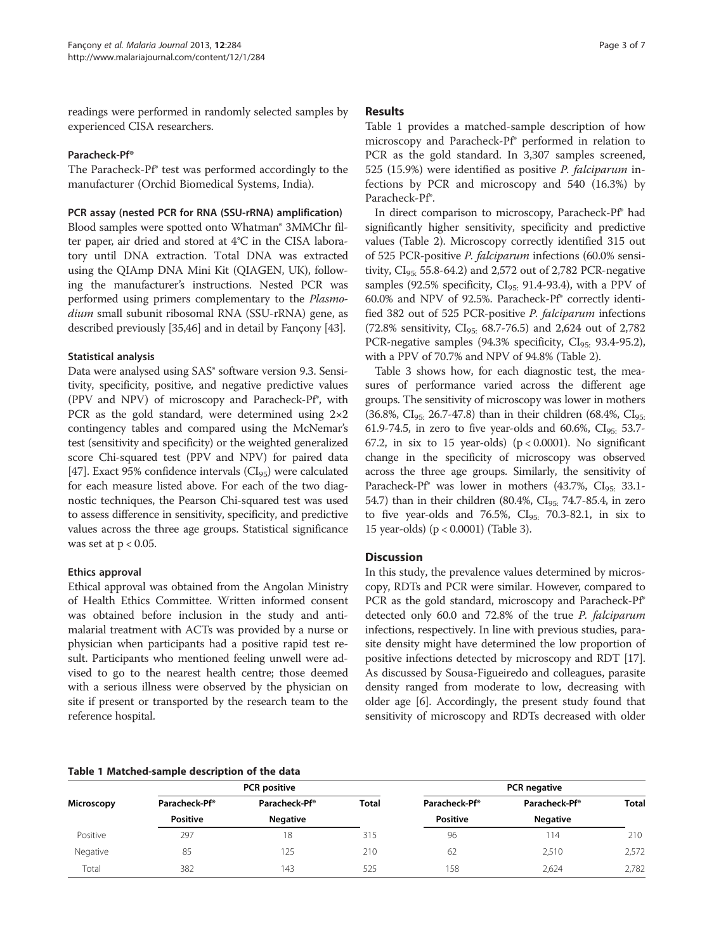readings were performed in randomly selected samples by experienced CISA researchers.

#### Paracheck-Pf®

The Paracheck-Pf® test was performed accordingly to the manufacturer (Orchid Biomedical Systems, India).

#### PCR assay (nested PCR for RNA (SSU-rRNA) amplification)

Blood samples were spotted onto Whatman® 3MMChr filter paper, air dried and stored at 4°C in the CISA laboratory until DNA extraction. Total DNA was extracted using the QIAmp DNA Mini Kit (QIAGEN, UK), following the manufacturer's instructions. Nested PCR was performed using primers complementary to the Plasmodium small subunit ribosomal RNA (SSU-rRNA) gene, as described previously [[35,46\]](#page-5-0) and in detail by Fançony [[43](#page-5-0)].

#### Statistical analysis

Data were analysed using SAS® software version 9.3. Sensitivity, specificity, positive, and negative predictive values (PPV and NPV) of microscopy and Paracheck-Pf®, with PCR as the gold standard, were determined using  $2\times2$ contingency tables and compared using the McNemar's test (sensitivity and specificity) or the weighted generalized score Chi-squared test (PPV and NPV) for paired data [[47](#page-5-0)]. Exact 95% confidence intervals  $(Cl_{95})$  were calculated for each measure listed above. For each of the two diagnostic techniques, the Pearson Chi-squared test was used to assess difference in sensitivity, specificity, and predictive values across the three age groups. Statistical significance was set at  $p < 0.05$ .

# Ethics approval

Ethical approval was obtained from the Angolan Ministry of Health Ethics Committee. Written informed consent was obtained before inclusion in the study and antimalarial treatment with ACTs was provided by a nurse or physician when participants had a positive rapid test result. Participants who mentioned feeling unwell were advised to go to the nearest health centre; those deemed with a serious illness were observed by the physician on site if present or transported by the research team to the reference hospital.

#### Table 1 Matched-sample description of the data

#### Results

Table 1 provides a matched-sample description of how microscopy and Paracheck-Pf® performed in relation to PCR as the gold standard. In 3,307 samples screened, 525 (15.9%) were identified as positive P. falciparum infections by PCR and microscopy and 540 (16.3%) by Paracheck-Pf®.

In direct comparison to microscopy, Paracheck-Pf® had significantly higher sensitivity, specificity and predictive values (Table [2\)](#page-3-0). Microscopy correctly identified 315 out of 525 PCR-positive P. falciparum infections (60.0% sensitivity,  $CI<sub>95</sub>$ . 55.8-64.2) and 2,572 out of 2,782 PCR-negative samples (92.5% specificity,  $CI_{95}$ : 91.4-93.4), with a PPV of 60.0% and NPV of 92.5%. Paracheck-Pf® correctly identified 382 out of 525 PCR-positive P. falciparum infections (72.8% sensitivity, CI<sub>95:</sub> 68.7-76.5) and 2,624 out of 2,782 PCR-negative samples (94.3% specificity, CI<sub>95</sub>. 93.4-95.2), with a PPV of 70.7% and NPV of 94.8% (Table [2](#page-3-0)).

Table [3](#page-3-0) shows how, for each diagnostic test, the measures of performance varied across the different age groups. The sensitivity of microscopy was lower in mothers  $(36.8\%, \text{Cl}_{95}$ : 26.7-47.8) than in their children  $(68.4\%, \text{Cl}_{95}$ . 61.9-74.5, in zero to five year-olds and 60.6%,  $CI_{95}$ : 53.7-67.2, in six to 15 year-olds)  $(p < 0.0001)$ . No significant change in the specificity of microscopy was observed across the three age groups. Similarly, the sensitivity of Paracheck-Pf® was lower in mothers (43.7%,  $CI_{95}$ : 33.1-54.7) than in their children (80.4%,  $CI_{95}$ : 74.7-85.4, in zero to five year-olds and 76.5%,  $CI_{95}$ : 70.3-82.1, in six to 15 year-olds) (p < 0.0001) (Table [3\)](#page-3-0).

# **Discussion**

In this study, the prevalence values determined by microscopy, RDTs and PCR were similar. However, compared to PCR as the gold standard, microscopy and Paracheck-Pf® detected only 60.0 and 72.8% of the true P. falciparum infections, respectively. In line with previous studies, parasite density might have determined the low proportion of positive infections detected by microscopy and RDT [[17](#page-5-0)]. As discussed by Sousa-Figueiredo and colleagues, parasite density ranged from moderate to low, decreasing with older age [\[6\]](#page-4-0). Accordingly, the present study found that sensitivity of microscopy and RDTs decreased with older

| Microscopy |                 | <b>PCR</b> positive |              | <b>PCR negative</b> |                 |              |  |
|------------|-----------------|---------------------|--------------|---------------------|-----------------|--------------|--|
|            | Paracheck-Pf®   | Paracheck-Pf®       | <b>Total</b> | Paracheck-Pf®       | Paracheck-Pf®   | <b>Total</b> |  |
|            | <b>Positive</b> | <b>Negative</b>     |              | <b>Positive</b>     | <b>Negative</b> |              |  |
| Positive   | 297             | 18                  | 315          | 96                  | 14              | 210          |  |
| Negative   | 85              | 125                 | 210          | 62                  | 2,510           | 2,572        |  |
| Total      | 382             | 143                 | 525          | 158                 | 2.624           | 2,782        |  |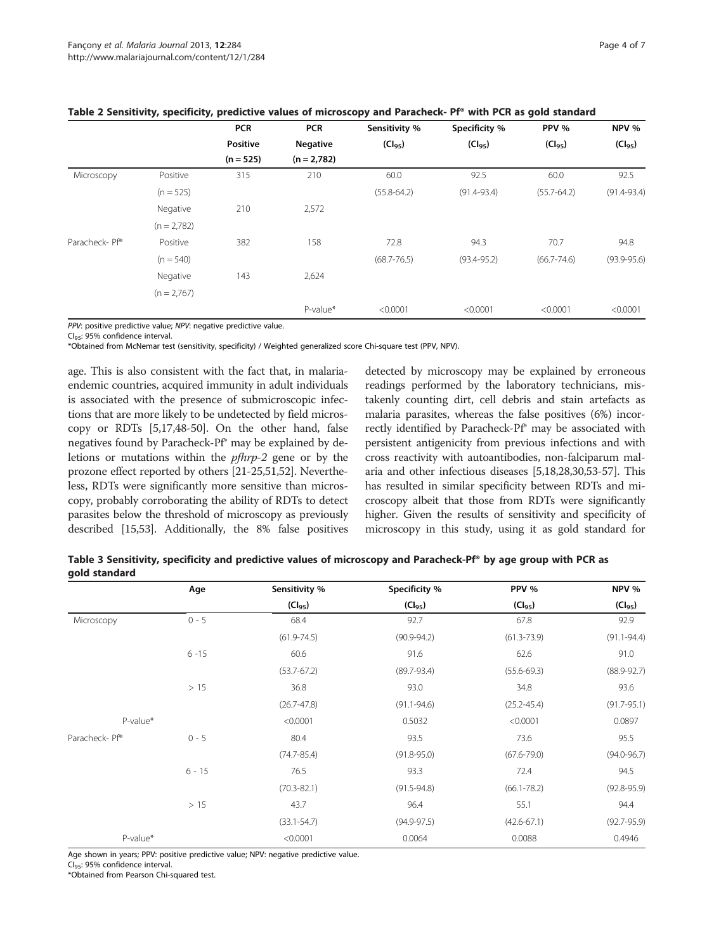|                |               | <b>PCR</b>      | <b>PCR</b>      | Sensitivity %   | Specificity %   | PPV %           | NPV %           |
|----------------|---------------|-----------------|-----------------|-----------------|-----------------|-----------------|-----------------|
|                |               | <b>Positive</b> | <b>Negative</b> | $(Cl_{95})$     | $(Cl_{95})$     | $(Cl_{95})$     | $(Cl_{95})$     |
|                |               | $(n = 525)$     | $(n = 2,782)$   |                 |                 |                 |                 |
| Microscopy     | Positive      | 315             | 210             | 60.0            | 92.5            | 60.0            | 92.5            |
|                | $(n = 525)$   |                 |                 | $(55.8 - 64.2)$ | $(91.4 - 93.4)$ | $(55.7 - 64.2)$ | $(91.4 - 93.4)$ |
|                | Negative      | 210             | 2,572           |                 |                 |                 |                 |
|                | $(n = 2,782)$ |                 |                 |                 |                 |                 |                 |
| Paracheck- Pf® | Positive      | 382             | 158             | 72.8            | 94.3            | 70.7            | 94.8            |
|                | $(n = 540)$   |                 |                 | $(68.7 - 76.5)$ | $(93.4 - 95.2)$ | $(66.7 - 74.6)$ | $(93.9 - 95.6)$ |
|                | Negative      | 143             | 2,624           |                 |                 |                 |                 |
|                | $(n = 2,767)$ |                 |                 |                 |                 |                 |                 |
|                |               |                 | P-value*        | < 0.0001        | < 0.0001        | < 0.0001        | < 0.0001        |

#### <span id="page-3-0"></span>Table 2 Sensitivity, specificity, predictive values of microscopy and Paracheck- Pf® with PCR as gold standard

PPV: positive predictive value; NPV: negative predictive value.

Cl<sub>95</sub>: 95% confidence interval.

\*Obtained from McNemar test (sensitivity, specificity) / Weighted generalized score Chi-square test (PPV, NPV).

age. This is also consistent with the fact that, in malariaendemic countries, acquired immunity in adult individuals is associated with the presence of submicroscopic infections that are more likely to be undetected by field microscopy or RDTs [[5](#page-4-0)[,17,48-50\]](#page-5-0). On the other hand, false negatives found by Paracheck-Pf® may be explained by deletions or mutations within the pfhrp-2 gene or by the prozone effect reported by others [\[21-25,51,52](#page-5-0)]. Nevertheless, RDTs were significantly more sensitive than microscopy, probably corroborating the ability of RDTs to detect parasites below the threshold of microscopy as previously described [\[15,53\]](#page-5-0). Additionally, the 8% false positives

detected by microscopy may be explained by erroneous readings performed by the laboratory technicians, mistakenly counting dirt, cell debris and stain artefacts as malaria parasites, whereas the false positives (6%) incorrectly identified by Paracheck-Pf® may be associated with persistent antigenicity from previous infections and with cross reactivity with autoantibodies, non-falciparum malaria and other infectious diseases [\[5](#page-4-0)[,18,28](#page-5-0),[30,53](#page-5-0)[-57\]](#page-6-0). This has resulted in similar specificity between RDTs and microscopy albeit that those from RDTs were significantly higher. Given the results of sensitivity and specificity of microscopy in this study, using it as gold standard for

|                | Age      | Sensitivity %   | Specificity %   | PPV %           | NPV %           |
|----------------|----------|-----------------|-----------------|-----------------|-----------------|
|                |          | $(Cl_{95})$     | $(Cl_{95})$     | $(Cl_{95})$     | $(Cl_{95})$     |
| Microscopy     | $0 - 5$  | 68.4            | 92.7            | 67.8            | 92.9            |
|                |          | $(61.9 - 74.5)$ | $(90.9 - 94.2)$ | $(61.3 - 73.9)$ | $(91.1 - 94.4)$ |
|                | $6 - 15$ | 60.6            | 91.6            | 62.6            | 91.0            |
|                |          | $(53.7 - 67.2)$ | $(89.7 - 93.4)$ | $(55.6 - 69.3)$ | $(88.9 - 92.7)$ |
|                | >15      | 36.8            | 93.0            | 34.8            | 93.6            |
|                |          | $(26.7 - 47.8)$ | $(91.1 - 94.6)$ | $(25.2 - 45.4)$ | $(91.7 - 95.1)$ |
| P-value*       |          | < 0.0001        | 0.5032          | < 0.0001        | 0.0897          |
| Paracheck- Pf® | $0 - 5$  | 80.4            | 93.5            | 73.6            | 95.5            |
|                |          | $(74.7 - 85.4)$ | $(91.8 - 95.0)$ | $(67.6 - 79.0)$ | $(94.0 - 96.7)$ |
|                | $6 - 15$ | 76.5            | 93.3            | 72.4            | 94.5            |
|                |          | $(70.3 - 82.1)$ | $(91.5 - 94.8)$ | $(66.1 - 78.2)$ | $(92.8 - 95.9)$ |
|                | >15      | 43.7            | 96.4            | 55.1            | 94.4            |
|                |          | $(33.1 - 54.7)$ | $(94.9 - 97.5)$ | $(42.6 - 67.1)$ | $(92.7 - 95.9)$ |
| P-value*       |          | < 0.0001        | 0.0064          | 0.0088          | 0.4946          |

Table 3 Sensitivity, specificity and predictive values of microscopy and Paracheck-Pf® by age group with PCR as gold standard

Age shown in years; PPV: positive predictive value; NPV: negative predictive value.

CI95: 95% confidence interval.

\*Obtained from Pearson Chi-squared test.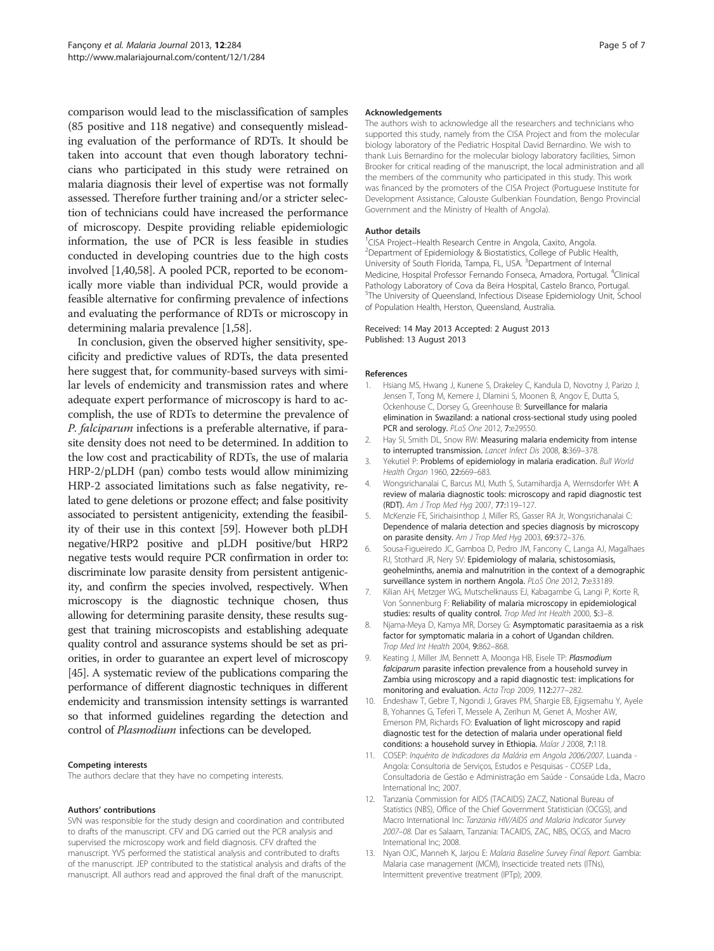<span id="page-4-0"></span>comparison would lead to the misclassification of samples (85 positive and 118 negative) and consequently misleading evaluation of the performance of RDTs. It should be taken into account that even though laboratory technicians who participated in this study were retrained on malaria diagnosis their level of expertise was not formally assessed. Therefore further training and/or a stricter selection of technicians could have increased the performance of microscopy. Despite providing reliable epidemiologic information, the use of PCR is less feasible in studies conducted in developing countries due to the high costs involved [1[,40,](#page-5-0)[58](#page-6-0)]. A pooled PCR, reported to be economically more viable than individual PCR, would provide a feasible alternative for confirming prevalence of infections and evaluating the performance of RDTs or microscopy in determining malaria prevalence [1[,58\]](#page-6-0).

In conclusion, given the observed higher sensitivity, specificity and predictive values of RDTs, the data presented here suggest that, for community-based surveys with similar levels of endemicity and transmission rates and where adequate expert performance of microscopy is hard to accomplish, the use of RDTs to determine the prevalence of P. falciparum infections is a preferable alternative, if parasite density does not need to be determined. In addition to the low cost and practicability of RDTs, the use of malaria HRP-2/pLDH (pan) combo tests would allow minimizing HRP-2 associated limitations such as false negativity, related to gene deletions or prozone effect; and false positivity associated to persistent antigenicity, extending the feasibility of their use in this context [\[59\]](#page-6-0). However both pLDH negative/HRP2 positive and pLDH positive/but HRP2 negative tests would require PCR confirmation in order to: discriminate low parasite density from persistent antigenicity, and confirm the species involved, respectively. When microscopy is the diagnostic technique chosen, thus allowing for determining parasite density, these results suggest that training microscopists and establishing adequate quality control and assurance systems should be set as priorities, in order to guarantee an expert level of microscopy [[45](#page-5-0)]. A systematic review of the publications comparing the performance of different diagnostic techniques in different endemicity and transmission intensity settings is warranted so that informed guidelines regarding the detection and control of Plasmodium infections can be developed.

#### Competing interests

The authors declare that they have no competing interests.

#### Authors' contributions

SVN was responsible for the study design and coordination and contributed to drafts of the manuscript. CFV and DG carried out the PCR analysis and supervised the microscopy work and field diagnosis. CFV drafted the manuscript. YVS performed the statistical analysis and contributed to drafts of the manuscript. JEP contributed to the statistical analysis and drafts of the manuscript. All authors read and approved the final draft of the manuscript.

#### Acknowledgements

The authors wish to acknowledge all the researchers and technicians who supported this study, namely from the CISA Project and from the molecular biology laboratory of the Pediatric Hospital David Bernardino. We wish to thank Luis Bernardino for the molecular biology laboratory facilities, Simon Brooker for critical reading of the manuscript, the local administration and all the members of the community who participated in this study. This work was financed by the promoters of the CISA Project (Portuguese Institute for Development Assistance, Calouste Gulbenkian Foundation, Bengo Provincial Government and the Ministry of Health of Angola).

#### Author details

<sup>1</sup> CISA Project–Health Research Centre in Angola, Caxito, Angola<sup>2</sup><br>Penartment of Enidemiology & Biostatistics, College of Public **L** <sup>2</sup>Department of Epidemiology & Biostatistics, College of Public Health, University of South Florida, Tampa, FL, USA. <sup>3</sup>Department of Internal Medicine, Hospital Professor Fernando Fonseca, Amadora, Portugal. <sup>4</sup>Clinical Pathology Laboratory of Cova da Beira Hospital, Castelo Branco, Portugal. <sup>5</sup>The University of Queensland, Infectious Disease Epidemiology Unit, School of Population Health, Herston, Queensland, Australia.

#### Received: 14 May 2013 Accepted: 2 August 2013 Published: 13 August 2013

#### References

- 1. Hsiang MS, Hwang J, Kunene S, Drakeley C, Kandula D, Novotny J, Parizo J, Jensen T, Tong M, Kemere J, Dlamini S, Moonen B, Angov E, Dutta S, Ockenhouse C, Dorsey G, Greenhouse B: Surveillance for malaria elimination in Swaziland: a national cross-sectional study using pooled PCR and serology. PLoS One 2012, 7:e29550.
- 2. Hay SI, Smith DL, Snow RW: Measuring malaria endemicity from intense to interrupted transmission. Lancet Infect Dis 2008, 8:369-378.
- 3. Yekutiel P: Problems of epidemiology in malaria eradication. Bull World Health Organ 1960, 22:669–683.
- 4. Wongsrichanalai C, Barcus MJ, Muth S, Sutamihardja A, Wernsdorfer WH: A review of malaria diagnostic tools: microscopy and rapid diagnostic test (RDT). Am J Trop Med Hyg 2007, 77:119–127.
- 5. McKenzie FE, Sirichaisinthop J, Miller RS, Gasser RA Jr, Wongsrichanalai C: Dependence of malaria detection and species diagnosis by microscopy on parasite density. Am J Trop Med Hyg 2003, 69:372-376.
- 6. Sousa-Figueiredo JC, Gamboa D, Pedro JM, Fancony C, Langa AJ, Magalhaes RJ, Stothard JR, Nery SV: Epidemiology of malaria, schistosomiasis, geohelminths, anemia and malnutrition in the context of a demographic surveillance system in northern Angola. PLoS One 2012, 7:e33189.
- 7. Kilian AH, Metzger WG, Mutschelknauss EJ, Kabagambe G, Langi P, Korte R, Von Sonnenburg F: Reliability of malaria microscopy in epidemiological studies: results of quality control. Trop Med Int Health 2000, 5:3–8.
- 8. Njama-Meya D, Kamya MR, Dorsey G: Asymptomatic parasitaemia as a risk factor for symptomatic malaria in a cohort of Ugandan children. Trop Med Int Health 2004, 9:862–868.
- 9. Keating J, Miller JM, Bennett A, Moonga HB, Eisele TP: Plasmodium falciparum parasite infection prevalence from a household survey in Zambia using microscopy and a rapid diagnostic test: implications for monitoring and evaluation. Acta Trop 2009, 112:277–282.
- 10. Endeshaw T, Gebre T, Ngondi J, Graves PM, Shargie EB, Ejigsemahu Y, Ayele B, Yohannes G, Teferi T, Messele A, Zerihun M, Genet A, Mosher AW, Emerson PM, Richards FO: Evaluation of light microscopy and rapid diagnostic test for the detection of malaria under operational field conditions: a household survey in Ethiopia. Malar J 2008, 7:118.
- 11. COSEP: Inquérito de Indicadores da Malária em Angola 2006/2007. Luanda Angola: Consultoria de Serviços, Estudos e Pesquisas - COSEP Lda., Consultadoria de Gestão e Administração em Saúde - Consaúde Lda., Macro International Inc; 2007.
- 12. Tanzania Commission for AIDS (TACAIDS) ZACZ, National Bureau of Statistics (NBS), Office of the Chief Government Statistician (OCGS), and Macro International Inc: Tanzania HIV/AIDS and Malaria Indicator Survey 2007–08. Dar es Salaam, Tanzania: TACAIDS, ZAC, NBS, OCGS, and Macro International Inc; 2008.
- 13. Nyan OJC, Manneh K, Jarjou E: Malaria Baseline Survey Final Report. Gambia: Malaria case management (MCM), Insecticide treated nets (ITNs), Intermittent preventive treatment (IPTp); 2009.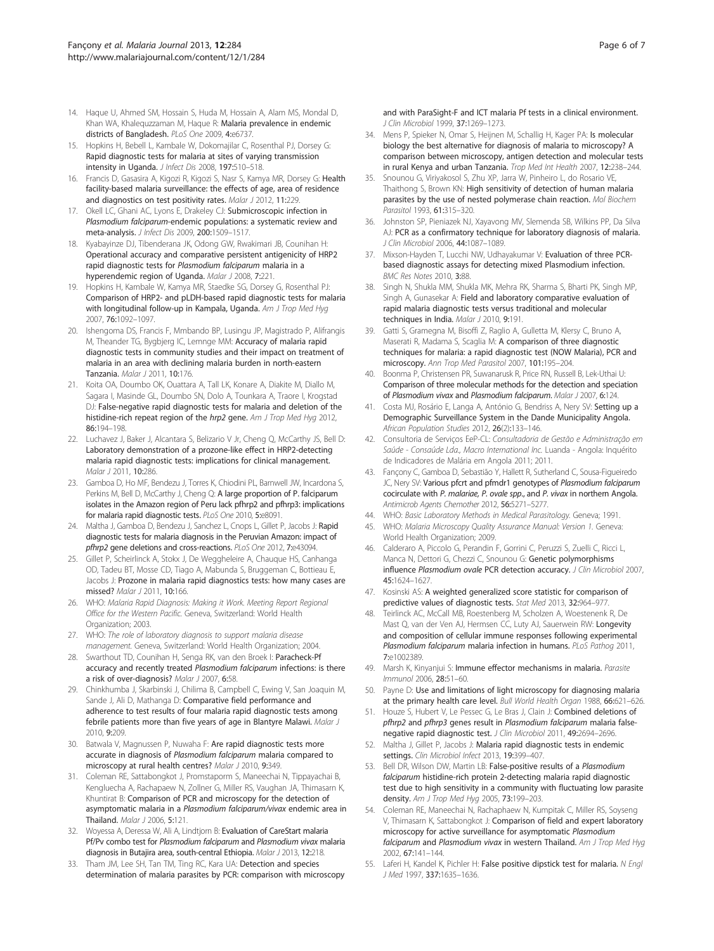- <span id="page-5-0"></span>14. Haque U, Ahmed SM, Hossain S, Huda M, Hossain A, Alam MS, Mondal D, Khan WA, Khalequzzaman M, Haque R: Malaria prevalence in endemic districts of Bangladesh. PLoS One 2009, 4:e6737.
- 15. Hopkins H, Bebell L, Kambale W, Dokomajilar C, Rosenthal PJ, Dorsey G: Rapid diagnostic tests for malaria at sites of varying transmission intensity in Uganda. J Infect Dis 2008, 197:510–518.
- 16. Francis D, Gasasira A, Kigozi R, Kigozi S, Nasr S, Kamya MR, Dorsey G: Health facility-based malaria surveillance: the effects of age, area of residence and diagnostics on test positivity rates. Malar J 2012, 11:229.
- 17. Okell LC, Ghani AC, Lyons E, Drakeley CJ: Submicroscopic infection in Plasmodium falciparum-endemic populations: a systematic review and meta-analysis. J Infect Dis 2009, 200:1509–1517.
- 18. Kyabayinze DJ, Tibenderana JK, Odong GW, Rwakimari JB, Counihan H: Operational accuracy and comparative persistent antigenicity of HRP2 rapid diagnostic tests for Plasmodium falciparum malaria in a hyperendemic region of Uganda. Malar J 2008, 7:221.
- 19. Hopkins H, Kambale W, Kamya MR, Staedke SG, Dorsey G, Rosenthal PJ: Comparison of HRP2- and pLDH-based rapid diagnostic tests for malaria with longitudinal follow-up in Kampala, Uganda. Am J Trop Med Hyg 2007, 76:1092–1097.
- 20. Ishengoma DS, Francis F, Mmbando BP, Lusingu JP, Magistrado P, Alifrangis M, Theander TG, Bygbjerg IC, Lemnge MM: Accuracy of malaria rapid diagnostic tests in community studies and their impact on treatment of malaria in an area with declining malaria burden in north-eastern Tanzania. Malar J 2011, 10:176.
- 21. Koita OA, Doumbo OK, Ouattara A, Tall LK, Konare A, Diakite M, Diallo M, Sagara I, Masinde GL, Doumbo SN, Dolo A, Tounkara A, Traore I, Krogstad DJ: False-negative rapid diagnostic tests for malaria and deletion of the histidine-rich repeat region of the hrp2 gene. Am J Trop Med Hyg 2012, 86:194–198.
- 22. Luchavez J, Baker J, Alcantara S, Belizario V Jr, Cheng Q, McCarthy JS, Bell D: Laboratory demonstration of a prozone-like effect in HRP2-detecting malaria rapid diagnostic tests: implications for clinical management. Malar J 2011, 10:286.
- 23. Gamboa D, Ho MF, Bendezu J, Torres K, Chiodini PL, Barnwell JW, Incardona S, Perkins M, Bell D, McCarthy J, Cheng Q: A large proportion of P. falciparum isolates in the Amazon region of Peru lack pfhrp2 and pfhrp3: implications for malaria rapid diagnostic tests. PLoS One 2010, 5:e8091.
- 24. Maltha J, Gamboa D, Bendezu J, Sanchez L, Cnops L, Gillet P, Jacobs J: Rapid diagnostic tests for malaria diagnosis in the Peruvian Amazon: impact of pfhrp2 gene deletions and cross-reactions. PLoS One 2012, 7:e43094.
- 25. Gillet P, Scheirlinck A, Stokx J, De Weggheleire A, Chauque HS, Canhanga OD, Tadeu BT, Mosse CD, Tiago A, Mabunda S, Bruggeman C, Bottieau E, Jacobs J: Prozone in malaria rapid diagnostics tests: how many cases are missed? Malar J 2011, 10:166.
- 26. WHO: Malaria Rapid Diagnosis: Making it Work. Meeting Report Regional Office for the Western Pacific. Geneva, Switzerland: World Health Organization; 2003.
- 27. WHO: The role of laboratory diagnosis to support malaria disease management. Geneva, Switzerland: World Health Organization; 2004.
- 28. Swarthout TD, Counihan H, Senga RK, van den Broek I: Paracheck-Pf accuracy and recently treated Plasmodium falciparum infections: is there a risk of over-diagnosis? Malar J 2007, 6:58.
- 29. Chinkhumba J, Skarbinski J, Chilima B, Campbell C, Ewing V, San Joaquin M, Sande J, Ali D, Mathanga D: Comparative field performance and adherence to test results of four malaria rapid diagnostic tests among febrile patients more than five years of age in Blantyre Malawi. Malar J 2010, 9:209.
- 30. Batwala V, Magnussen P, Nuwaha F: Are rapid diagnostic tests more accurate in diagnosis of Plasmodium falciparum malaria compared to microscopy at rural health centres? Malar J 2010, 9:349.
- 31. Coleman RE, Sattabongkot J, Promstaporm S, Maneechai N, Tippayachai B, Kengluecha A, Rachapaew N, Zollner G, Miller RS, Vaughan JA, Thimasarn K, Khuntirat B: Comparison of PCR and microscopy for the detection of asymptomatic malaria in a Plasmodium falciparum/vivax endemic area in Thailand. Malar J 2006, 5:121.
- 32. Woyessa A, Deressa W, Ali A, Lindtjorn B: Evaluation of CareStart malaria Pf/Pv combo test for Plasmodium falciparum and Plasmodium vivax malaria diagnosis in Butajira area, south-central Ethiopia. Malar J 2013, 12:218.
- 33. Tham JM, Lee SH, Tan TM, Ting RC, Kara UA: Detection and species determination of malaria parasites by PCR: comparison with microscopy

and with ParaSight-F and ICT malaria Pf tests in a clinical environment. J Clin Microbiol 1999, 37:1269–1273.

- 34. Mens P, Spieker N, Omar S, Heijnen M, Schallig H, Kager PA: Is molecular biology the best alternative for diagnosis of malaria to microscopy? A comparison between microscopy, antigen detection and molecular tests in rural Kenya and urban Tanzania. Trop Med Int Health 2007, 12:238–244.
- 35. Snounou G, Viriyakosol S, Zhu XP, Jarra W, Pinheiro L, do Rosario VE, Thaithong S, Brown KN: High sensitivity of detection of human malaria parasites by the use of nested polymerase chain reaction. Mol Biochem Parasitol 1993, 61:315–320.
- 36. Johnston SP, Pieniazek NJ, Xayavong MV, Slemenda SB, Wilkins PP, Da Silva AJ: PCR as a confirmatory technique for laboratory diagnosis of malaria. J Clin Microbiol 2006, 44:1087–1089.
- 37. Mixson-Hayden T, Lucchi NW, Udhayakumar V: Evaluation of three PCRbased diagnostic assays for detecting mixed Plasmodium infection. BMC Res Notes 2010, 3:88.
- 38. Singh N, Shukla MM, Shukla MK, Mehra RK, Sharma S, Bharti PK, Singh MP, Singh A, Gunasekar A: Field and laboratory comparative evaluation of rapid malaria diagnostic tests versus traditional and molecular techniques in India. Malar J 2010, 9:191.
- 39. Gatti S, Gramegna M, Bisoffi Z, Raglio A, Gulletta M, Klersy C, Bruno A, Maserati R, Madama S, Scaglia M: A comparison of three diagnostic techniques for malaria: a rapid diagnostic test (NOW Malaria), PCR and microscopy. Ann Trop Med Parasitol 2007, 101:195–204.
- 40. Boonma P, Christensen PR, Suwanarusk R, Price RN, Russell B, Lek-Uthai U: Comparison of three molecular methods for the detection and speciation of Plasmodium vivax and Plasmodium falciparum. Malar J 2007, 6:124.
- 41. Costa MJ, Rosário E, Langa A, António G, Bendriss A, Nery SV: Setting up a Demographic Surveillance System in the Dande Municipality Angola. African Population Studies 2012, 26(2):133–146.
- 42. Consultoria de Serviços EeP-CL: Consultadoria de Gestão e Administração em Saúde - Consaúde Lda., Macro International Inc. Luanda - Angola: Inquérito de Indicadores de Malária em Angola 2011; 2011.
- 43. Fançony C, Gamboa D, Sebastião Y, Hallett R, Sutherland C, Sousa-Figueiredo JC, Nery SV: Various pfcrt and pfmdr1 genotypes of Plasmodium falciparum cocirculate with P. malariae, P. ovale spp., and P. vivax in northern Angola. Antimicrob Agents Chemother 2012, 56:5271–5277.
- 44. WHO: Basic Laboratory Methods in Medical Parasitology. Geneva; 1991.
- 45. WHO: Malaria Microscopy Quality Assurance Manual: Version 1. Geneva: World Health Organization; 2009.
- 46. Calderaro A, Piccolo G, Perandin F, Gorrini C, Peruzzi S, Zuelli C, Ricci L, Manca N, Dettori G, Chezzi C, Snounou G: Genetic polymorphisms influence Plasmodium ovale PCR detection accuracy. J Clin Microbiol 2007, 45:1624–1627.
- 47. Kosinski AS: A weighted generalized score statistic for comparison of predictive values of diagnostic tests. Stat Med 2013, 32:964–977.
- Teirlinck AC, McCall MB, Roestenberg M, Scholzen A, Woestenenk R, De Mast Q, van der Ven AJ, Hermsen CC, Luty AJ, Sauerwein RW: Longevity and composition of cellular immune responses following experimental Plasmodium falciparum malaria infection in humans. PLoS Pathog 2011, 7:e1002389.
- 49. Marsh K, Kinyanjui S: Immune effector mechanisms in malaria. Parasite Immunol 2006, 28:51–60.
- 50. Payne D: Use and limitations of light microscopy for diagnosing malaria at the primary health care level. Bull World Health Organ 1988, 66:621–626.
- 51. Houze S, Hubert V, Le Pessec G, Le Bras J, Clain J: Combined deletions of pfhrp2 and pfhrp3 genes result in Plasmodium falciparum malaria falsenegative rapid diagnostic test. J Clin Microbiol 2011, 49:2694-2696.
- 52. Maltha J, Gillet P, Jacobs J: Malaria rapid diagnostic tests in endemic settings. Clin Microbiol Infect 2013, 19:399-407.
- 53. Bell DR, Wilson DW, Martin LB: False-positive results of a Plasmodium falciparum histidine-rich protein 2-detecting malaria rapid diagnostic test due to high sensitivity in a community with fluctuating low parasite density. Am J Trop Med Hyg 2005, 73:199–203.
- 54. Coleman RE, Maneechai N, Rachaphaew N, Kumpitak C, Miller RS, Soyseng V, Thimasarn K, Sattabongkot J: Comparison of field and expert laboratory microscopy for active surveillance for asymptomatic Plasmodium falciparum and Plasmodium vivax in western Thailand. Am J Trop Med Hyg 2002, 67:141–144.
- 55. Laferi H, Kandel K, Pichler H: False positive dipstick test for malaria. N Engl J Med 1997, 337:1635–1636.